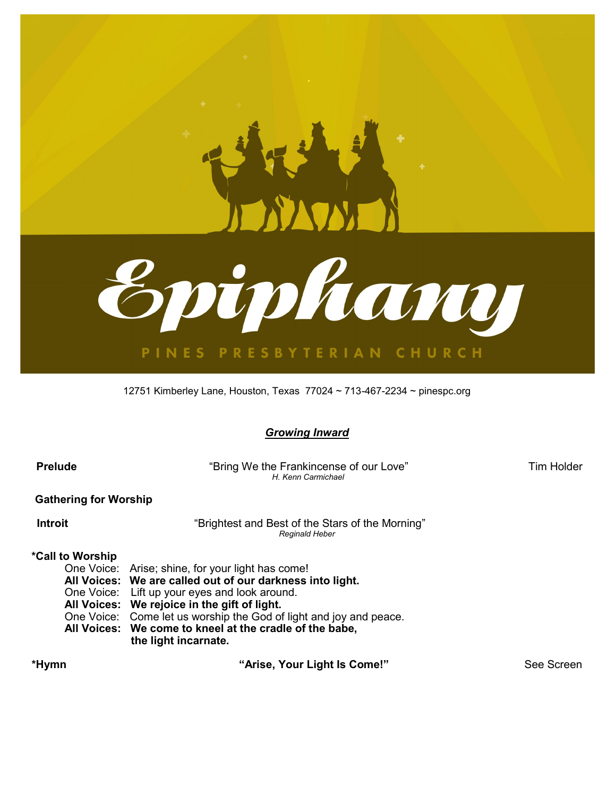

12751 Kimberley Lane, Houston, Texas 77024 ~ 713-467-2234 ~ pinespc.org

*Growing Inward*

| <b>Prelude</b> |
|----------------|
|----------------|

**<b>
<sup>
"Bring We the Frankincense of our Love" Tim Holder**</sup>  *H. Kenn Carmichael*

 **Gathering for Worship**

**Introit Conserverse intervalse introit Conserverse intervalse intervalse intervalse intervalse intervalse intervalse intervalse intervalse intervalse intervalse intervalse intervalse intervalse intervalse intervalse i** *Reginald Heber*

### **\*Call to Worship**

- One Voice: Arise; shine, for your light has come!
- **All Voices: We are called out of our darkness into light.**
- One Voice: Lift up your eyes and look around.
- **All Voices: We rejoice in the gift of light.**
- One Voice: Come let us worship the God of light and joy and peace.
- **All Voices: We come to kneel at the cradle of the babe, the light incarnate.**

 **\*Hymn "Arise, Your Light Is Come!"** See Screen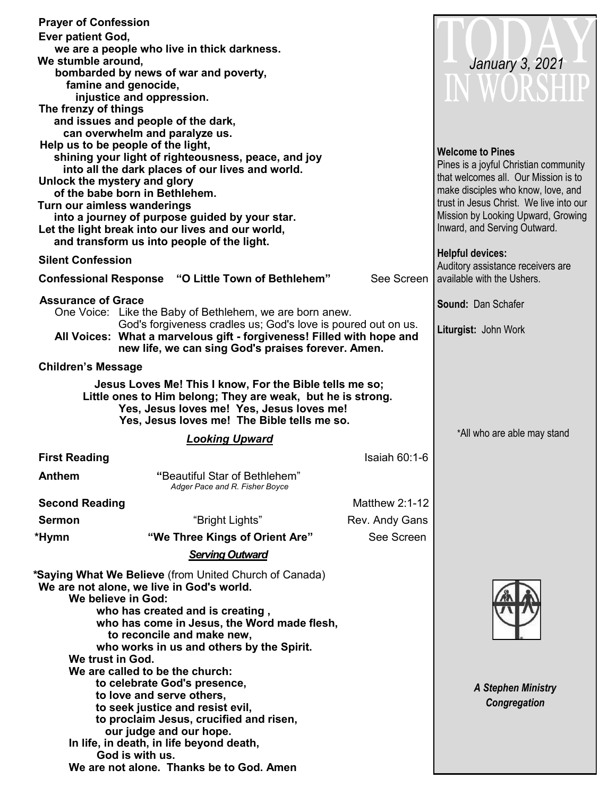|                           | <b>Prayer of Confession</b>                                                                                                                                                                                                                                                                                                                    |                                                                            |                                                                 |
|---------------------------|------------------------------------------------------------------------------------------------------------------------------------------------------------------------------------------------------------------------------------------------------------------------------------------------------------------------------------------------|----------------------------------------------------------------------------|-----------------------------------------------------------------|
| <b>Ever patient God,</b>  |                                                                                                                                                                                                                                                                                                                                                |                                                                            |                                                                 |
| We stumble around,        | we are a people who live in thick darkness.                                                                                                                                                                                                                                                                                                    |                                                                            |                                                                 |
|                           | bombarded by news of war and poverty,                                                                                                                                                                                                                                                                                                          |                                                                            | January 3, 2021                                                 |
|                           | famine and genocide,                                                                                                                                                                                                                                                                                                                           |                                                                            | IN WORSHIP                                                      |
|                           | injustice and oppression.                                                                                                                                                                                                                                                                                                                      |                                                                            |                                                                 |
| The frenzy of things      |                                                                                                                                                                                                                                                                                                                                                |                                                                            |                                                                 |
|                           | and issues and people of the dark,                                                                                                                                                                                                                                                                                                             |                                                                            |                                                                 |
|                           | can overwhelm and paralyze us.<br>Help us to be people of the light,                                                                                                                                                                                                                                                                           |                                                                            |                                                                 |
|                           | shining your light of righteousness, peace, and joy                                                                                                                                                                                                                                                                                            |                                                                            | <b>Welcome to Pines</b>                                         |
|                           | into all the dark places of our lives and world.                                                                                                                                                                                                                                                                                               |                                                                            | Pines is a joyful Christian community                           |
|                           | Unlock the mystery and glory                                                                                                                                                                                                                                                                                                                   | that welcomes all. Our Mission is to<br>make disciples who know, love, and |                                                                 |
|                           | of the babe born in Bethlehem.<br>Turn our aimless wanderings                                                                                                                                                                                                                                                                                  | trust in Jesus Christ. We live into our                                    |                                                                 |
|                           | into a journey of purpose guided by your star.                                                                                                                                                                                                                                                                                                 |                                                                            | Mission by Looking Upward, Growing                              |
|                           | Let the light break into our lives and our world,                                                                                                                                                                                                                                                                                              |                                                                            | Inward, and Serving Outward.                                    |
|                           | and transform us into people of the light.                                                                                                                                                                                                                                                                                                     |                                                                            |                                                                 |
| <b>Silent Confession</b>  |                                                                                                                                                                                                                                                                                                                                                |                                                                            | <b>Helpful devices:</b>                                         |
|                           | <b>Confessional Response "O Little Town of Bethlehem"</b>                                                                                                                                                                                                                                                                                      | See Screen                                                                 | Auditory assistance receivers are<br>available with the Ushers. |
|                           |                                                                                                                                                                                                                                                                                                                                                |                                                                            |                                                                 |
| <b>Assurance of Grace</b> | One Voice: Like the Baby of Bethlehem, we are born anew.                                                                                                                                                                                                                                                                                       |                                                                            | Sound: Dan Schafer                                              |
|                           | God's forgiveness cradles us; God's love is poured out on us.                                                                                                                                                                                                                                                                                  |                                                                            |                                                                 |
|                           | All Voices: What a marvelous gift - forgiveness! Filled with hope and<br>new life, we can sing God's praises forever. Amen.                                                                                                                                                                                                                    |                                                                            | Liturgist: John Work                                            |
| <b>Children's Message</b> |                                                                                                                                                                                                                                                                                                                                                |                                                                            |                                                                 |
|                           |                                                                                                                                                                                                                                                                                                                                                |                                                                            |                                                                 |
|                           | Jesus Loves Me! This I know, For the Bible tells me so;<br>Little ones to Him belong; They are weak, but he is strong.<br>Yes, Jesus loves me! Yes, Jesus loves me!                                                                                                                                                                            |                                                                            |                                                                 |
|                           | Yes, Jesus loves me! The Bible tells me so.                                                                                                                                                                                                                                                                                                    |                                                                            |                                                                 |
|                           | <b>Looking Upward</b>                                                                                                                                                                                                                                                                                                                          |                                                                            | *All who are able may stand                                     |
| <b>First Reading</b>      |                                                                                                                                                                                                                                                                                                                                                | Isaiah 60:1-6                                                              |                                                                 |
| <b>Anthem</b>             |                                                                                                                                                                                                                                                                                                                                                |                                                                            |                                                                 |
|                           | "Beautiful Star of Bethlehem"                                                                                                                                                                                                                                                                                                                  |                                                                            |                                                                 |
|                           | Adger Pace and R. Fisher Boyce                                                                                                                                                                                                                                                                                                                 |                                                                            |                                                                 |
| <b>Second Reading</b>     |                                                                                                                                                                                                                                                                                                                                                | <b>Matthew 2:1-12</b>                                                      |                                                                 |
| <b>Sermon</b>             | "Bright Lights"                                                                                                                                                                                                                                                                                                                                | Rev. Andy Gans                                                             |                                                                 |
| *Hymn                     | "We Three Kings of Orient Are"                                                                                                                                                                                                                                                                                                                 | See Screen                                                                 |                                                                 |
|                           | <b>Serving Outward</b>                                                                                                                                                                                                                                                                                                                         |                                                                            |                                                                 |
|                           |                                                                                                                                                                                                                                                                                                                                                |                                                                            |                                                                 |
|                           |                                                                                                                                                                                                                                                                                                                                                |                                                                            |                                                                 |
|                           |                                                                                                                                                                                                                                                                                                                                                |                                                                            |                                                                 |
|                           |                                                                                                                                                                                                                                                                                                                                                |                                                                            |                                                                 |
|                           |                                                                                                                                                                                                                                                                                                                                                |                                                                            |                                                                 |
|                           |                                                                                                                                                                                                                                                                                                                                                |                                                                            |                                                                 |
|                           |                                                                                                                                                                                                                                                                                                                                                |                                                                            |                                                                 |
|                           | *Saying What We Believe (from United Church of Canada)<br>We are not alone, we live in God's world.<br>We believe in God:<br>who has created and is creating,<br>who has come in Jesus, the Word made flesh,<br>to reconcile and make new,<br>who works in us and others by the Spirit.<br>We trust in God.<br>We are called to be the church: |                                                                            |                                                                 |
|                           | to celebrate God's presence,                                                                                                                                                                                                                                                                                                                   |                                                                            | <b>A Stephen Ministry</b>                                       |
|                           | to love and serve others,<br>to seek justice and resist evil,                                                                                                                                                                                                                                                                                  |                                                                            | Congregation                                                    |
|                           | to proclaim Jesus, crucified and risen,                                                                                                                                                                                                                                                                                                        |                                                                            |                                                                 |
|                           | our judge and our hope.                                                                                                                                                                                                                                                                                                                        |                                                                            |                                                                 |
|                           | In life, in death, in life beyond death,<br>God is with us.                                                                                                                                                                                                                                                                                    |                                                                            |                                                                 |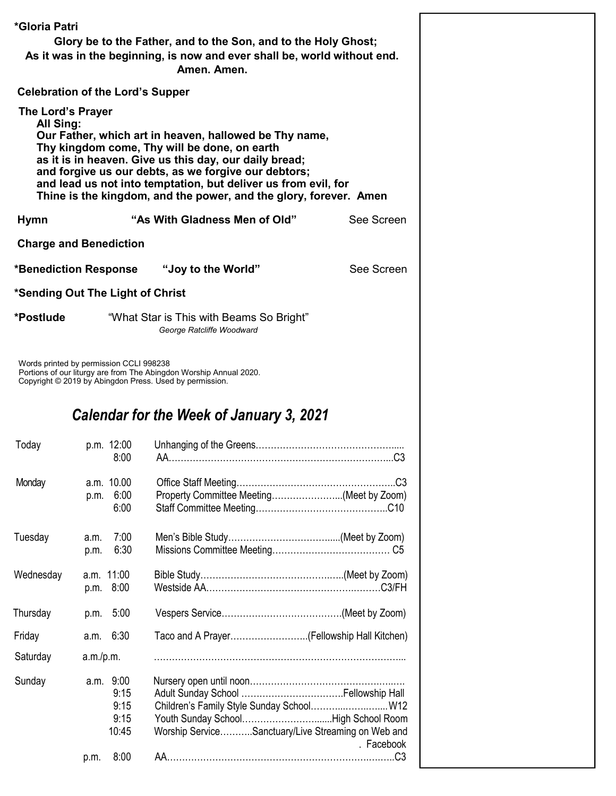| *Gloria Patri<br>Glory be to the Father, and to the Son, and to the Holy Ghost;<br>As it was in the beginning, is now and ever shall be, world without end.<br>Amen. Amen.<br><b>Celebration of the Lord's Supper</b><br>The Lord's Prayer<br>All Sing:<br>Our Father, which art in heaven, hallowed be Thy name, |              |                                            |                                                                                                                                                                                                                                                                                                       |            |  |  |
|-------------------------------------------------------------------------------------------------------------------------------------------------------------------------------------------------------------------------------------------------------------------------------------------------------------------|--------------|--------------------------------------------|-------------------------------------------------------------------------------------------------------------------------------------------------------------------------------------------------------------------------------------------------------------------------------------------------------|------------|--|--|
|                                                                                                                                                                                                                                                                                                                   |              |                                            | Thy kingdom come, Thy will be done, on earth<br>as it is in heaven. Give us this day, our daily bread;<br>and forgive us our debts, as we forgive our debtors;<br>and lead us not into temptation, but deliver us from evil, for<br>Thine is the kingdom, and the power, and the glory, forever. Amen |            |  |  |
| <b>Hymn</b>                                                                                                                                                                                                                                                                                                       |              |                                            | "As With Gladness Men of Old"                                                                                                                                                                                                                                                                         | See Screen |  |  |
| <b>Charge and Benediction</b>                                                                                                                                                                                                                                                                                     |              |                                            |                                                                                                                                                                                                                                                                                                       |            |  |  |
| *Benediction Response                                                                                                                                                                                                                                                                                             |              |                                            | "Joy to the World"                                                                                                                                                                                                                                                                                    | See Screen |  |  |
| *Sending Out The Light of Christ                                                                                                                                                                                                                                                                                  |              |                                            |                                                                                                                                                                                                                                                                                                       |            |  |  |
| *Postlude                                                                                                                                                                                                                                                                                                         |              |                                            | "What Star is This with Beams So Bright"<br>George Ratcliffe Woodward                                                                                                                                                                                                                                 |            |  |  |
| Words printed by permission CCLI 998238                                                                                                                                                                                                                                                                           |              |                                            | Portions of our liturgy are from The Abingdon Worship Annual 2020.<br>Copyright © 2019 by Abingdon Press. Used by permission.<br>Calendar for the Week of January 3, 2021                                                                                                                             |            |  |  |
| Today                                                                                                                                                                                                                                                                                                             |              | p.m. 12:00<br>8:00                         |                                                                                                                                                                                                                                                                                                       |            |  |  |
| Monday                                                                                                                                                                                                                                                                                                            | p.m.         | a.m. 10.00<br>6:00<br>6:00                 | Property Committee Meeting(Meet by Zoom)                                                                                                                                                                                                                                                              |            |  |  |
| Tuesday                                                                                                                                                                                                                                                                                                           | a.m.<br>p.m. | 7:00<br>6:30                               |                                                                                                                                                                                                                                                                                                       |            |  |  |
| Wednesday                                                                                                                                                                                                                                                                                                         |              | a.m. 11:00<br>p.m. 8:00                    |                                                                                                                                                                                                                                                                                                       |            |  |  |
| Thursday                                                                                                                                                                                                                                                                                                          | p.m.         | 5:00                                       |                                                                                                                                                                                                                                                                                                       |            |  |  |
| Friday                                                                                                                                                                                                                                                                                                            | a.m.         | 6:30                                       |                                                                                                                                                                                                                                                                                                       |            |  |  |
| Saturday                                                                                                                                                                                                                                                                                                          | a.m./p.m.    |                                            |                                                                                                                                                                                                                                                                                                       |            |  |  |
| Sunday                                                                                                                                                                                                                                                                                                            |              | a.m. 9:00<br>9:15<br>9:15<br>9:15<br>10:45 | Children's Family Style Sunday School W12<br>Worship ServiceSanctuary/Live Streaming on Web and                                                                                                                                                                                                       | . Facebook |  |  |
|                                                                                                                                                                                                                                                                                                                   | p.m.         | 8:00                                       |                                                                                                                                                                                                                                                                                                       |            |  |  |